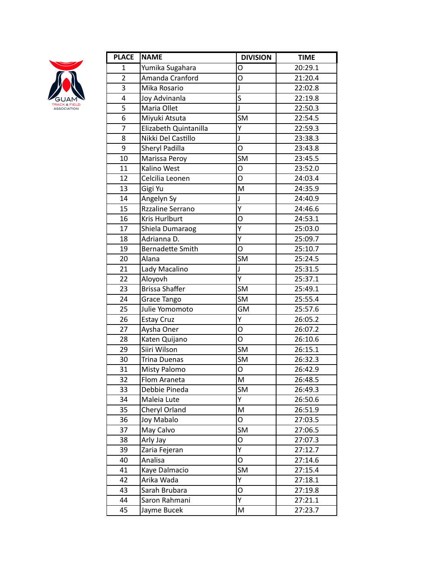

| <b>PLACE</b>   | <b>NAME</b>             | <b>DIVISION</b>         | <b>TIME</b> |
|----------------|-------------------------|-------------------------|-------------|
| 1              | Yumika Sugahara         | O                       | 20:29.1     |
| $\overline{c}$ | Amanda Cranford         | O                       | 21:20.4     |
| 3              | Mika Rosario            | J                       | 22:02.8     |
| 4              | Joy Advinanla           | $\overline{\mathsf{s}}$ | 22:19.8     |
| $\overline{5}$ | Maria Ollet             | J                       | 22:50.3     |
| 6              | Miyuki Atsuta           | SM                      | 22:54.5     |
| 7              | Elizabeth Quintanilla   | Y                       | 22:59.3     |
| 8              | Nikki Del Castillo      | J                       | 23:38.3     |
| 9              | Sheryl Padilla          | O                       | 23:43.8     |
| 10             | Marissa Peroy           | <b>SM</b>               | 23:45.5     |
| 11             | Kalino West             | О                       | 23:52.0     |
| 12             | Celcilia Leonen         | O                       | 24:03.4     |
| 13             | Gigi Yu                 | M                       | 24:35.9     |
| 14             | Angelyn Sy              | J                       | 24:40.9     |
| 15             | Rzzaline Serrano        | $\overline{Y}$          | 24:46.6     |
| 16             | Kris Hurlburt           | O                       | 24:53.1     |
| 17             | Shiela Dumaraog         | Ÿ                       | 25:03.0     |
| 18             | Adrianna D.             | Υ                       | 25:09.7     |
| 19             | <b>Bernadette Smith</b> | O                       | 25:10.7     |
| 20             | Alana                   | SM                      | 25:24.5     |
| 21             | Lady Macalino           | J                       | 25:31.5     |
| 22             | Aloyovh                 | Ý                       | 25:37.1     |
| 23             | <b>Brissa Shaffer</b>   | <b>SM</b>               | 25:49.1     |
| 24             | Grace Tango             | SM                      | 25:55.4     |
| 25             | Julie Yomomoto          | GM                      | 25:57.6     |
| 26             | <b>Estay Cruz</b>       | Ÿ                       | 26:05.2     |
| 27             | Aysha Oner              | O                       | 26:07.2     |
| 28             | Katen Quijano           | O                       | 26:10.6     |
| 29             | Siiri Wilson            | <b>SM</b>               | 26:15.1     |
| 30             | Trina Duenas            | <b>SM</b>               | 26:32.3     |
| 31             | <b>Misty Palomo</b>     | O                       | 26:42.9     |
| 32             | Flom Araneta            | M                       | 26:48.5     |
| 33             | Debbie Pineda           | SM                      | 26:49.3     |
| 34             | Maleia Lute             | Υ                       | 26:50.6     |
| 35             | Cheryl Orland           | M                       | 26:51.9     |
| 36             | Joy Mabalo              | O                       | 27:03.5     |
| 37             | May Calvo               | SM                      | 27:06.5     |
| 38             | Arly Jay                | 0                       | 27:07.3     |
| 39             | Zaria Fejeran           | Υ                       | 27:12.7     |
| 40             | Analisa                 | 0                       | 27:14.6     |
| 41             | Kaye Dalmacio           | SM                      | 27:15.4     |
| 42             | Arika Wada              | Ÿ                       | 27:18.1     |
| 43             | Sarah Brubara           | 0                       | 27:19.8     |
| 44             | Saron Rahmani           | Y                       | 27:21.1     |
| 45             | Jayme Bucek             | M                       | 27:23.7     |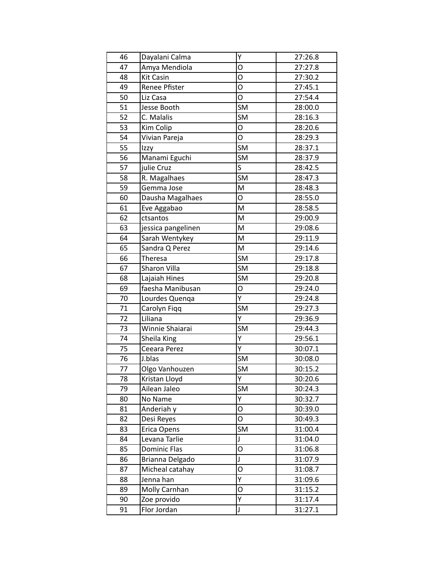| 46 | Dayalani Calma      | Υ                                 | 27:26.8 |
|----|---------------------|-----------------------------------|---------|
| 47 | Amya Mendiola       | O                                 | 27:27.8 |
| 48 | <b>Kit Casin</b>    | О                                 | 27:30.2 |
| 49 | Renee Pfister       | O                                 | 27:45.1 |
| 50 | Liz Casa            | O                                 | 27:54.4 |
| 51 | Jesse Booth         | <b>SM</b>                         | 28:00.0 |
| 52 | C. Malalis          | <b>SM</b>                         | 28:16.3 |
| 53 | Kim Colip           | O                                 | 28:20.6 |
| 54 | Vivian Pareja       | O                                 | 28:29.3 |
| 55 | Izzy                | SM                                | 28:37.1 |
| 56 | Manami Eguchi       | SM                                | 28:37.9 |
| 57 | julie Cruz          | $\overline{\mathsf{s}}$           | 28:42.5 |
| 58 | R. Magalhaes        | $\overline{\mathsf{S}}\mathsf{M}$ | 28:47.3 |
| 59 | Gemma Jose          | M                                 | 28:48.3 |
| 60 | Dausha Magalhaes    | $\overline{O}$                    | 28:55.0 |
| 61 | Eve Aggabao         | M                                 | 28:58.5 |
| 62 | ctsantos            | M                                 | 29:00.9 |
| 63 | jessica pangelinen  | M                                 | 29:08.6 |
| 64 | Sarah Wentykey      | M                                 | 29:11.9 |
| 65 | Sandra Q Perez      | M                                 | 29:14.6 |
| 66 | Theresa             | $\overline{\mathsf{S}}\mathsf{M}$ | 29:17.8 |
| 67 | Sharon Villa        | <b>SM</b>                         | 29:18.8 |
| 68 | Lajaiah Hines       | SM                                | 29:20.8 |
| 69 | faesha Manibusan    | O                                 | 29:24.0 |
| 70 | Lourdes Quenqa      | Ý                                 | 29:24.8 |
| 71 | Carolyn Fiqq        | SM                                | 29:27.3 |
| 72 | Liliana             | Ý                                 | 29:36.9 |
| 73 | Winnie Shaiarai     | <b>SM</b>                         | 29:44.3 |
| 74 | Sheila King         | Y                                 | 29:56.1 |
| 75 | Ceeara Perez        | Y                                 | 30:07.1 |
| 76 | J.blas              | SM                                | 30:08.0 |
| 77 | Olgo Vanhouzen      | <b>SM</b>                         | 30:15.2 |
| 78 | Kristan Lloyd       | Υ                                 | 30:20.6 |
| 79 | Ailean Jaleo        | $\overline{\text{SM}}$            | 30:24.3 |
| 80 | No Name             | Υ                                 | 30:32.7 |
| 81 | Anderiah y          | 0                                 | 30:39.0 |
| 82 | Desi Reyes          | O                                 | 30:49.3 |
| 83 | Erica Opens         | <b>SM</b>                         | 31:00.4 |
| 84 | Levana Tarlie       | J                                 | 31:04.0 |
| 85 | <b>Dominic Flas</b> | O                                 | 31:06.8 |
| 86 | Brianna Delgado     | J                                 | 31:07.9 |
| 87 | Micheal catahay     | 0                                 | 31:08.7 |
| 88 | Jenna han           | Y                                 | 31:09.6 |
| 89 | Molly Carnhan       | O                                 | 31:15.2 |
| 90 | Zoe provido         | Υ                                 | 31:17.4 |
| 91 | Flor Jordan         | J                                 | 31:27.1 |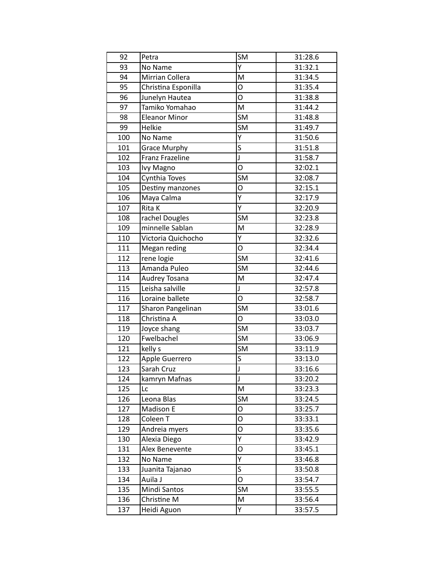| 92  | Petra                  | SM                                | 31:28.6 |
|-----|------------------------|-----------------------------------|---------|
| 93  | No Name                | Ý                                 | 31:32.1 |
| 94  | Mirrian Collera        | M                                 | 31:34.5 |
| 95  | Christina Esponilla    | O                                 | 31:35.4 |
| 96  | Junelyn Hautea         | O                                 | 31:38.8 |
| 97  | Tamiko Yomahao         | M                                 | 31:44.2 |
| 98  | <b>Eleanor Minor</b>   | <b>SM</b>                         | 31:48.8 |
| 99  | Helkie                 | <b>SM</b>                         | 31:49.7 |
| 100 | No Name                | $\overline{Y}$                    | 31:50.6 |
| 101 | <b>Grace Murphy</b>    | $\overline{s}$                    | 31:51.8 |
| 102 | <b>Franz Frazeline</b> | J                                 | 31:58.7 |
| 103 | Ivy Magno              | $\overline{\mathsf{o}}$           | 32:02.1 |
| 104 | Cynthia Toves          | <b>SM</b>                         | 32:08.7 |
| 105 | Destiny manzones       | O                                 | 32:15.1 |
| 106 | Maya Calma             | Ÿ                                 | 32:17.9 |
| 107 | Rita K                 | $\overline{Y}$                    | 32:20.9 |
| 108 | rachel Dougles         | SM                                | 32:23.8 |
| 109 | minnelle Sablan        | M                                 | 32:28.9 |
| 110 | Victoria Quichocho     | Y                                 | 32:32.6 |
| 111 | Megan reding           | O                                 | 32:34.4 |
| 112 | rene logie             | $\overline{\mathsf{S}}\mathsf{M}$ | 32:41.6 |
| 113 | Amanda Puleo           | SM                                | 32:44.6 |
| 114 | Audrey Tosana          | M                                 | 32:47.4 |
| 115 | Leisha salville        | J                                 | 32:57.8 |
| 116 | Loraine ballete        | O                                 | 32:58.7 |
| 117 | Sharon Pangelinan      | SM                                | 33:01.6 |
| 118 | Christina A            | O                                 | 33:03.0 |
| 119 | Joyce shang            | SM                                | 33:03.7 |
| 120 | Fwelbachel             | SM                                | 33:06.9 |
| 121 | kelly s                | $\overline{\text{SM}}$            | 33:11.9 |
| 122 | Apple Guerrero         | $\overline{\mathsf{s}}$           | 33:13.0 |
| 123 | Sarah Cruz             | J                                 | 33:16.6 |
| 124 | kamryn Mafnas          | J                                 | 33:20.2 |
| 125 | Lc                     | M                                 | 33:23.3 |
| 126 | Leona Blas             | SM                                | 33:24.5 |
| 127 | Madison E              | 0                                 | 33:25.7 |
| 128 | Coleen <sub>T</sub>    | O                                 | 33:33.1 |
| 129 | Andreia myers          | O                                 | 33:35.6 |
| 130 | Alexia Diego           | Y                                 | 33:42.9 |
| 131 | Alex Benevente         | O                                 | 33:45.1 |
| 132 | No Name                | $\overline{Y}$                    | 33:46.8 |
| 133 | Juanita Tajanao        | S                                 | 33:50.8 |
| 134 | Auila J                | O                                 | 33:54.7 |
| 135 | Mindi Santos           | SM                                | 33:55.5 |
| 136 | Christine M            | M                                 | 33:56.4 |
| 137 | Heidi Aguon            | Y                                 | 33:57.5 |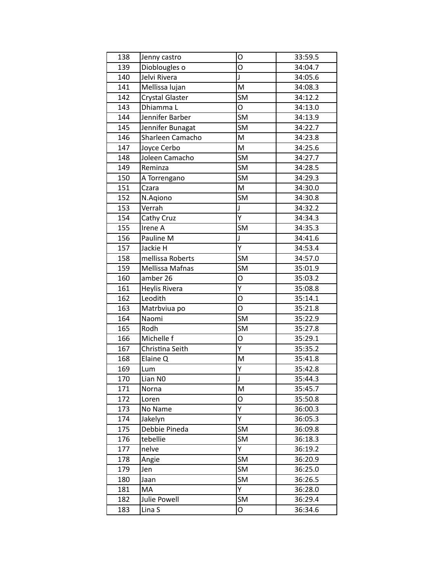| 138 | Jenny castro           | O                                 | 33:59.5 |
|-----|------------------------|-----------------------------------|---------|
| 139 | Dioblougles o          | O                                 | 34:04.7 |
| 140 | Jelvi Rivera           | J                                 | 34:05.6 |
| 141 | Mellissa lujan         | M                                 | 34:08.3 |
| 142 | <b>Crystal Glaster</b> | SM                                | 34:12.2 |
| 143 | Dhiamma L              | O                                 | 34:13.0 |
| 144 | Jennifer Barber        | <b>SM</b>                         | 34:13.9 |
| 145 | Jennifer Bunagat       | SM                                | 34:22.7 |
| 146 | Sharleen Camacho       | M                                 | 34:23.8 |
| 147 | Joyce Cerbo            | M                                 | 34:25.6 |
| 148 | Joleen Camacho         | SM                                | 34:27.7 |
| 149 | Reminza                | $\overline{\mathsf{S}}\mathsf{M}$ | 34:28.5 |
| 150 | A Torrengano           | SM                                | 34:29.3 |
| 151 | Czara                  | M                                 | 34:30.0 |
| 152 | N.Agiono               | <b>SM</b>                         | 34:30.8 |
| 153 | Verrah                 | J                                 | 34:32.2 |
| 154 | Cathy Cruz             | Υ                                 | 34:34.3 |
| 155 | Irene A                | SM                                | 34:35.3 |
| 156 | Pauline M              | J                                 | 34:41.6 |
| 157 | Jackie H               | Υ                                 | 34:53.4 |
| 158 | mellissa Roberts       | $\overline{\mathsf{S}}\mathsf{M}$ | 34:57.0 |
| 159 | <b>Mellissa Mafnas</b> | SM                                | 35:01.9 |
| 160 | amber 26               | O                                 | 35:03.2 |
| 161 | Heylis Rivera          | Y                                 | 35:08.8 |
| 162 | Leodith                | O                                 | 35:14.1 |
| 163 | Matrbviua po           | O                                 | 35:21.8 |
| 164 | Naomi                  | $\overline{\mathsf{S}}\mathsf{M}$ | 35:22.9 |
| 165 | Rodh                   | SM                                | 35:27.8 |
| 166 | Michelle f             | O                                 | 35:29.1 |
| 167 | Christina Seith        | Ÿ                                 | 35:35.2 |
| 168 | Elaine Q               | M                                 | 35:41.8 |
| 169 | Lum                    | Υ                                 | 35:42.8 |
| 170 | Lian NO                | J                                 | 35:44.3 |
| 171 | Norna                  | M                                 | 35:45.7 |
| 172 | Loren                  | 0                                 | 35:50.8 |
| 173 | No Name                | Y                                 | 36:00.3 |
| 174 | Jakelyn                | Ý                                 | 36:05.3 |
| 175 | Debbie Pineda          | SM                                | 36:09.8 |
| 176 | tebellie               | SM                                | 36:18.3 |
| 177 | nelve                  | Y                                 | 36:19.2 |
| 178 | Angie                  | SM                                | 36:20.9 |
| 179 | Jen                    | SM                                | 36:25.0 |
| 180 | Jaan                   | SM                                | 36:26.5 |
| 181 | MA                     | Υ                                 | 36:28.0 |
| 182 | Julie Powell           | SM                                | 36:29.4 |
| 183 | Lina S                 | O                                 | 36:34.6 |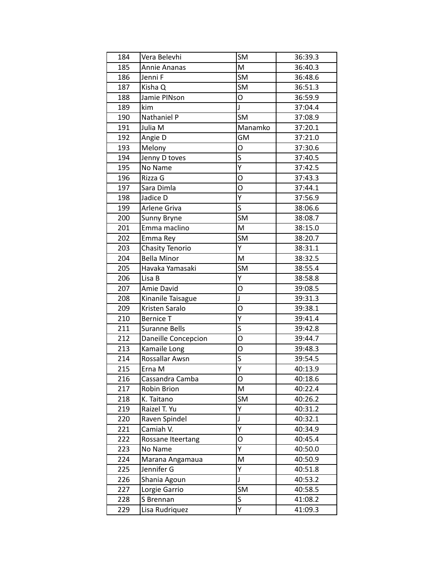| 184 | Vera Belevhi          | SM                      | 36:39.3 |
|-----|-----------------------|-------------------------|---------|
| 185 | Annie Ananas          | M                       | 36:40.3 |
| 186 | Jenni F               | <b>SM</b>               | 36:48.6 |
| 187 | Kisha Q               | SM                      | 36:51.3 |
| 188 | Jamie PINson          | O                       | 36:59.9 |
| 189 | kim                   | $\mathsf{J}$            | 37:04.4 |
| 190 | Nathaniel P           | <b>SM</b>               | 37:08.9 |
| 191 | Julia M               | Manamko                 | 37:20.1 |
| 192 | Angie D               | GM                      | 37:21.0 |
| 193 | Melony                | О                       | 37:30.6 |
| 194 | Jenny D toves         | S                       | 37:40.5 |
| 195 | No Name               | $\overline{\mathsf{Y}}$ | 37:42.5 |
| 196 | Rizza G               | O                       | 37:43.3 |
| 197 | Sara Dimla            | O                       | 37:44.1 |
| 198 | Jadice D              | Ÿ                       | 37:56.9 |
| 199 | Arlene Griva          | $\overline{\mathsf{s}}$ | 38:06.6 |
| 200 | Sunny Bryne           | SM                      | 38:08.7 |
| 201 | Emma maclino          | M                       | 38:15.0 |
| 202 | Emma Rey              | SM                      | 38:20.7 |
| 203 | Chasity Tenorio       | Y                       | 38:31.1 |
| 204 | <b>Bella Minor</b>    | M                       | 38:32.5 |
| 205 | Havaka Yamasaki       | SM                      | 38:55.4 |
| 206 | Lisa B                | Ÿ                       | 38:58.8 |
| 207 | Amie David            | O                       | 39:08.5 |
| 208 | Kinanile Taisague     | J                       | 39:31.3 |
| 209 | Kristen Saralo        | O                       | 39:38.1 |
| 210 | <b>Bernice T</b>      | Υ                       | 39:41.4 |
| 211 | <b>Suranne Bells</b>  | $\overline{\mathsf{s}}$ | 39:42.8 |
| 212 | Daneille Concepcion   | O                       | 39:44.7 |
| 213 | Kamaile Long          | O                       | 39:48.3 |
| 214 | <b>Rossallar Awsn</b> | $\overline{\mathsf{s}}$ | 39:54.5 |
| 215 | Erna M                | Y                       | 40:13.9 |
| 216 | Cassandra Camba       | Ο                       | 40:18.6 |
| 217 | Robin Brion           | M                       | 40:22.4 |
| 218 | K. Taitano            | SM                      | 40:26.2 |
| 219 | Raizel T. Yu          | Υ                       | 40:31.2 |
| 220 | Raven Spindel         | J                       | 40:32.1 |
| 221 | Camiah V.             | Ÿ                       | 40:34.9 |
| 222 | Rossane Iteertang     | O                       | 40:45.4 |
| 223 | No Name               | Y                       | 40:50.0 |
| 224 | Marana Angamaua       | M                       | 40:50.9 |
| 225 | Jennifer G            | Y                       | 40:51.8 |
| 226 | Shania Agoun          | J                       | 40:53.2 |
| 227 | Lorgie Garrio         | SM                      | 40:58.5 |
| 228 | S Brennan             | S                       | 41:08.2 |
| 229 | Lisa Rudriquez        | Ý                       | 41:09.3 |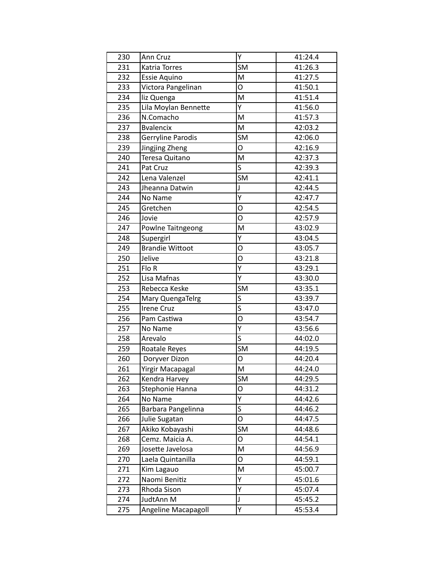| 230 | Ann Cruz               | Υ                       | 41:24.4 |
|-----|------------------------|-------------------------|---------|
| 231 | Katria Torres          | <b>SM</b>               | 41:26.3 |
| 232 | Essie Aquino           | M                       | 41:27.5 |
| 233 | Victora Pangelinan     | O                       | 41:50.1 |
| 234 | liz Quenga             | M                       | 41:51.4 |
| 235 | Lila Moylan Bennette   | Ÿ                       | 41:56.0 |
| 236 | N.Comacho              | M                       | 41:57.3 |
| 237 | <b>B</b> valencix      | M                       | 42:03.2 |
| 238 | Gerryline Parodis      | <b>SM</b>               | 42:06.0 |
| 239 | Jingjing Zheng         | O                       | 42:16.9 |
| 240 | Teresa Quitano         | M                       | 42:37.3 |
| 241 | Pat Cruz               | $\overline{\mathsf{s}}$ | 42:39.3 |
| 242 | Lena Valenzel          | <b>SM</b>               | 42:41.1 |
| 243 | Jheanna Datwin         | J                       | 42:44.5 |
| 244 | No Name                | $\overline{Y}$          | 42:47.7 |
| 245 | Gretchen               | O                       | 42:54.5 |
| 246 | Jovie                  | O                       | 42:57.9 |
| 247 | Powlne Taitngeong      | M                       | 43:02.9 |
| 248 | Supergirl              | Υ                       | 43:04.5 |
| 249 | <b>Brandie Wittoot</b> | O                       | 43:05.7 |
| 250 | Jelive                 | O                       | 43:21.8 |
| 251 | Flo R                  | $\overline{Y}$          | 43:29.1 |
| 252 | Lisa Mafnas            | Υ                       | 43:30.0 |
| 253 | Rebecca Keske          | <b>SM</b>               | 43:35.1 |
| 254 | Mary QuengaTelrg       | S                       | 43:39.7 |
| 255 | <b>Irene Cruz</b>      | S                       | 43:47.0 |
| 256 | Pam Castiwa            | O                       | 43:54.7 |
| 257 | No Name                | $\overline{Y}$          | 43:56.6 |
| 258 | Arevalo                | S                       | 44:02.0 |
| 259 | Roatale Reyes          | $\overline{\text{SM}}$  | 44:19.5 |
| 260 | Doryver Dizon          | O                       | 44:20.4 |
| 261 | Yirgir Macapagal       | M                       | 44:24.0 |
| 262 | Kendra Harvey          | <b>SM</b>               | 44:29.5 |
| 263 | Stephonie Hanna        | O                       | 44:31.2 |
| 264 | No Name                | Υ                       | 44:42.6 |
| 265 | Barbara Pangelinna     | S                       | 44:46.2 |
| 266 | Julie Sugatan          | O                       | 44:47.5 |
| 267 | Akiko Kobayashi        | SM                      | 44:48.6 |
| 268 | Cemz. Maicia A.        | О                       | 44:54.1 |
| 269 | Josette Javelosa       | M                       | 44:56.9 |
| 270 | Laela Quintanilla      | 0                       | 44:59.1 |
| 271 | Kim Lagauo             | M                       | 45:00.7 |
| 272 | Naomi Benitiz          | Y                       | 45:01.6 |
| 273 | Rhoda Sison            | $\overline{Y}$          | 45:07.4 |
| 274 | JudtAnn M              | J                       | 45:45.2 |
| 275 | Angeline Macapagoll    | Υ                       | 45:53.4 |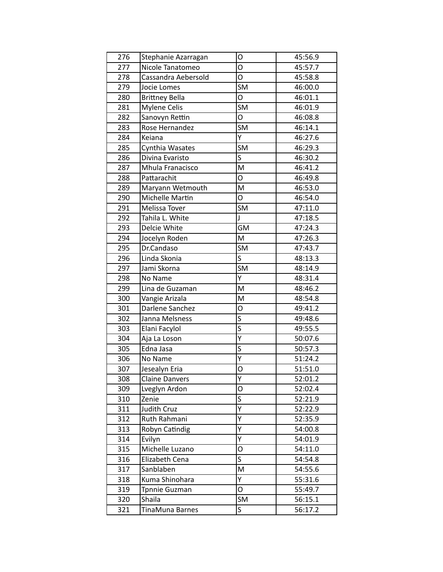| 276 | Stephanie Azarragan   | О                       | 45:56.9 |
|-----|-----------------------|-------------------------|---------|
| 277 | Nicole Tanatomeo      | O                       | 45:57.7 |
| 278 | Cassandra Aebersold   | O                       | 45:58.8 |
| 279 | Jocie Lomes           | SM                      | 46:00.0 |
| 280 | <b>Brittney Bella</b> | O                       | 46:01.1 |
| 281 | <b>Mylene Celis</b>   | <b>SM</b>               | 46:01.9 |
| 282 | Sanovyn Rettin        | O                       | 46:08.8 |
| 283 | Rose Hernandez        | <b>SM</b>               | 46:14.1 |
| 284 | Keiana                | Y                       | 46:27.6 |
| 285 | Cynthia Wasates       | SM                      | 46:29.3 |
| 286 | Divina Evaristo       | $\overline{\mathsf{s}}$ | 46:30.2 |
| 287 | Mhula Franacisco      | M                       | 46:41.2 |
| 288 | Pattarachit           | O                       | 46:49.8 |
| 289 | Maryann Wetmouth      | M                       | 46:53.0 |
| 290 | Michelle Martin       | O                       | 46:54.0 |
| 291 | Melissa Tover         | SM                      | 47:11.0 |
| 292 | Tahila L. White       | $\mathsf{J}$            | 47:18.5 |
| 293 | Delcie White          | <b>GM</b>               | 47:24.3 |
| 294 | Jocelyn Roden         | M                       | 47:26.3 |
| 295 | Dr.Candaso            | SM                      | 47:43.7 |
| 296 | Linda Skonia          | S                       | 48:13.3 |
| 297 | Jami Skorna           | $\overline{\text{SM}}$  | 48:14.9 |
| 298 | No Name               | Y                       | 48:31.4 |
| 299 | Lina de Guzaman       | M                       | 48:46.2 |
| 300 | Vangie Arizala        | M                       | 48:54.8 |
| 301 | Darlene Sanchez       | О                       | 49:41.2 |
| 302 | Janna Melsness        | S                       | 49:48.6 |
| 303 | Elani Facylol         | $\overline{\mathsf{s}}$ | 49:55.5 |
| 304 | Aja La Loson          | Ÿ                       | 50:07.6 |
| 305 | Edna Jasa             | $\overline{\mathsf{s}}$ | 50:57.3 |
| 306 | No Name               | Ÿ                       | 51:24.2 |
| 307 | Jesealyn Eria         | O                       | 51:51.0 |
| 308 | <b>Claine Danvers</b> | Υ                       | 52:01.2 |
| 309 |                       |                         |         |
|     | Lveglyn Ardon         | O                       | 52:02.4 |
| 310 | Zenie                 | S                       | 52:21.9 |
| 311 | Judith Cruz           | Υ                       | 52:22.9 |
| 312 | Ruth Rahmani          | Y                       | 52:35.9 |
| 313 | Robyn Catindig        | Υ                       | 54:00.8 |
| 314 | Evilyn                | Υ                       | 54:01.9 |
| 315 | Michelle Luzano       | O                       | 54:11.0 |
| 316 | Elizabeth Cena        | S                       | 54:54.8 |
| 317 | Sanblaben             | M                       | 54:55.6 |
| 318 | Kuma Shinohara        | Y                       | 55:31.6 |
| 319 | Tpnnie Guzman         | 0                       | 55:49.7 |
| 320 | Shaila                | SM                      | 56:15.1 |